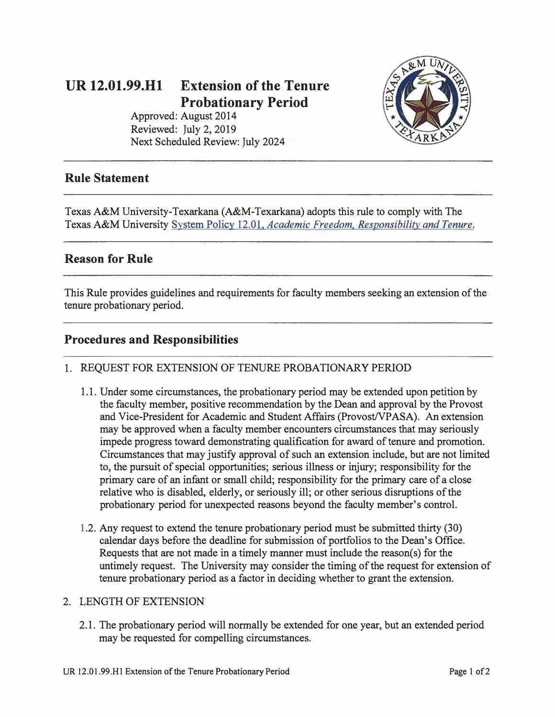# **UR 12.01.99.Hl Extension of the Tenure Probationary Period**

Approved: August 2014 Reviewed: July 2, 2019 Next Scheduled Review: July 2024



### **Rule Statement**

Texas A&M University-Texarkana (A&M-Texarkana) adopts this rule to comply with The Texas A&M University System Policy 12.01, *[Academic Freedom, Responsibility and Tenure](http://policies.tamus.edu/12-01.pdf).* 

#### **Reason for Rule**

This Rule provides guidelines and requirements for faculty members seeking an extension of the tenure probationary period.

# **Procedures and Responsibilities**

#### 1. REQUEST FOR EXTENSION OF TENURE PROBATIONARY PERIOD

- 1.1. Under some circumstances, the probationary period may be extended upon petition by the faculty member, positive recommendation by the Dean and approval by the Provost and Vice-President for Academic and Student Affairs (Provost/VP ASA). An extension may be approved when a faculty member encounters circumstances that may seriously impede progress toward demonstrating qualification for award of tenure and promotion. Circumstances that may justify approval of such an extension include, but are not limited to, the pursuit of special opportunities; serious illness or injury; responsibility for the primary care of an infant or small child; responsibility for the primary care of a close relative who is disabled, elderly, or seriously ill; or other serious disruptions of the probationary period for unexpected reasons beyond the faculty member's control.
- 1.2. Any request to extend the tenure probationary period must be submitted thirty (30) calendar days before the deadline for submission of portfolios to the Dean's Office. Requests that are not made in a timely manner must include the reason(s) for the untimely request. The University may consider the timing of the request for extension of tenure probationary period as a factor in deciding whether to grant the extension.

#### 2. LENGTH OF EXTENSION

2.1. The probationary period will normally be extended for one year, but an extended period may be requested for compelling circumstances.